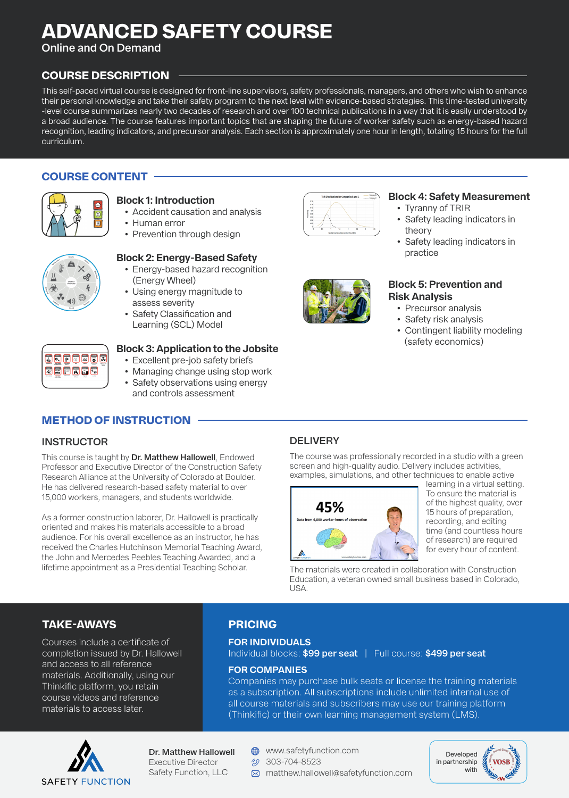# **ADVANCED SAFETY COURSE**

**Online and On Demand**

#### **COURSE DESCRIPTION**

This self-paced virtual course is designed for front-line supervisors, safety professionals, managers, and others who wish to enhance their personal knowledge and take their safety program to the next level with evidence-based strategies. This time-tested university -level course summarizes nearly two decades of research and over 100 technical publications in a way that it is easily understood by a broad audience. The course features important topics that are shaping the future of worker safety such as energy-based hazard recognition, leading indicators, and precursor analysis. Each section is approximately one hour in length, totaling 15 hours for the full curriculum.

#### **COURSE CONTENT**



#### **Block 1: Introduction**

- Accident causation and analysis
- Human error
	- Prevention through design

#### **Block 2: Energy-Based Safety**

- Energy-based hazard recognition (Energy Wheel)
- Using energy magnitude to assess severity
- Safety Classification and Learning (SCL) Model

#### **Block 3: Application to the Jobsite**

- Excellent pre-job safety briefs
- Managing change using stop work
- Safety observations using energy and controls assessment

### **METHOD OF INSTRUCTION**

#### **INSTRUCTOR**

**Deess** 

EEFRDE

This course is taught by **Dr. Matthew Hallowell**, Endowed Professor and Executive Director of the Construction Safety Research Alliance at the University of Colorado at Boulder. He has delivered research-based safety material to over 15,000 workers, managers, and students worldwide.

As a former construction laborer, Dr. Hallowell is practically oriented and makes his materials accessible to a broad audience. For his overall excellence as an instructor, he has received the Charles Hutchinson Memorial Teaching Award, the John and Mercedes Peebles Teaching Awarded, and a lifetime appointment as a Presidential Teaching Scholar.

#### **DELIVERY**

The course was professionally recorded in a studio with a green screen and high-quality audio. Delivery includes activities, examples, simulations, and other techniques to enable active



learning in a virtual setting. To ensure the material is of the highest quality, over 15 hours of preparation, recording, and editing time (and countless hours of research) are required for every hour of content.

The materials were created in collaboration with Construction Education, a veteran owned small business based in Colorado, USA.

#### **TAKE-AWAYS**

Courses include a certificate of completion issued by Dr. Hallowell and access to all reference materials. Additionally, using our Thinkific platform, you retain course videos and reference materials to access later.

### **PRICING**

#### **FOR INDIVIDUALS**

Individual blocks: **\$99 per seat** | Full course: **\$499 per seat**

#### **FOR COMPANIES**

Companies may purchase bulk seats or license the training materials as a subscription. All subscriptions include unlimited internal use of all course materials and subscribers may use our training platform (Thinkific) or their own learning management system (LMS).



**Dr. Matthew Hallowell** Executive Director Safety Function, LLC

- **<sup>44</sup>** www.safetyfunction.com
- $$203-704-8523$
- matthew.hallowell@safetyfunction.com





#### **Block 4: Safety Measurement**

- Tyranny of TRIR
- Safety leading indicators in theory
- Safety leading indicators in practice



#### **Block 5: Prevention and Risk Analysis**

- Precursor analysis
- Safety risk analysis
- Contingent liability modeling (safety economics)